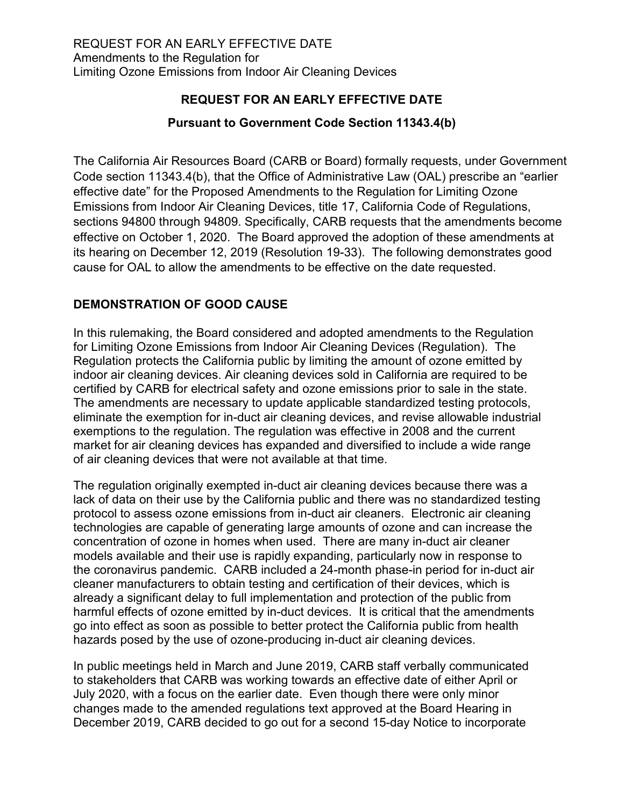## **REQUEST FOR AN EARLY EFFECTIVE DATE**

## **Pursuant to Government Code Section 11343.4(b)**

 The California Air Resources Board (CARB or Board) formally requests, under Government sections 94800 through 94809. Specifically, CARB requests that the amendments become effective on October 1, 2020. The Board approved the adoption of these amendments at its hearing on December 12, 2019 (Resolution 19-33). The following demonstrates good Code section 11343.4(b), that the Office of Administrative Law (OAL) prescribe an "earlier effective date" for the Proposed Amendments to the Regulation for Limiting Ozone Emissions from Indoor Air Cleaning Devices, title 17, California Code of Regulations, cause for OAL to allow the amendments to be effective on the date requested.

## **DEMONSTRATION OF GOOD CAUSE**

 In this rulemaking, the Board considered and adopted amendments to the Regulation of air cleaning devices that were not available at that time. for Limiting Ozone Emissions from Indoor Air Cleaning Devices (Regulation). The Regulation protects the California public by limiting the amount of ozone emitted by indoor air cleaning devices. Air cleaning devices sold in California are required to be certified by CARB for electrical safety and ozone emissions prior to sale in the state. The amendments are necessary to update applicable standardized testing protocols, eliminate the exemption for in-duct air cleaning devices, and revise allowable industrial exemptions to the regulation. The regulation was effective in 2008 and the current market for air cleaning devices has expanded and diversified to include a wide range

 technologies are capable of generating large amounts of ozone and can increase the already a significant delay to full implementation and protection of the public from harmful effects of ozone emitted by in-duct devices. It is critical that the amendments The regulation originally exempted in-duct air cleaning devices because there was a lack of data on their use by the California public and there was no standardized testing protocol to assess ozone emissions from in-duct air cleaners. Electronic air cleaning concentration of ozone in homes when used. There are many in-duct air cleaner models available and their use is rapidly expanding, particularly now in response to the coronavirus pandemic. CARB included a 24-month phase-in period for in-duct air cleaner manufacturers to obtain testing and certification of their devices, which is go into effect as soon as possible to better protect the California public from health hazards posed by the use of ozone-producing in-duct air cleaning devices.

 to stakeholders that CARB was working towards an effective date of either April or In public meetings held in March and June 2019, CARB staff verbally communicated July 2020, with a focus on the earlier date. Even though there were only minor changes made to the amended regulations text approved at the Board Hearing in December 2019, CARB decided to go out for a second 15-day Notice to incorporate